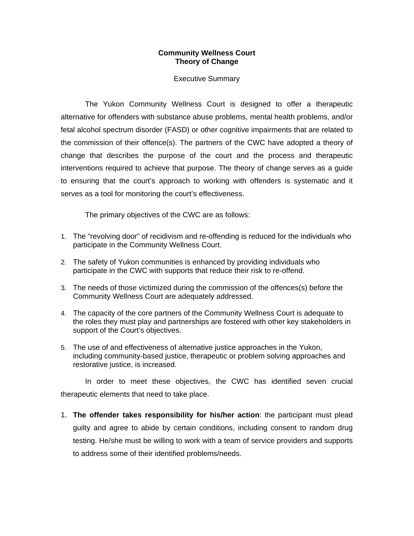## **Community Wellness Court Theory of Change**

## Executive Summary

The Yukon Community Wellness Court is designed to offer a therapeutic alternative for offenders with substance abuse problems, mental health problems, and/or fetal alcohol spectrum disorder (FASD) or other cognitive impairments that are related to the commission of their offence(s). The partners of the CWC have adopted a theory of change that describes the purpose of the court and the process and therapeutic interventions required to achieve that purpose. The theory of change serves as a guide to ensuring that the court's approach to working with offenders is systematic and it serves as a tool for monitoring the court's effectiveness.

The primary objectives of the CWC are as follows:

- 1. The "revolving door" of recidivism and re-offending is reduced for the individuals who participate in the Community Wellness Court.
- 2. The safety of Yukon communities is enhanced by providing individuals who participate in the CWC with supports that reduce their risk to re-offend.
- 3. The needs of those victimized during the commission of the offences(s) before the Community Wellness Court are adequately addressed.
- 4. The capacity of the core partners of the Community Wellness Court is adequate to the roles they must play and partnerships are fostered with other key stakeholders in support of the Court's objectives.
- 5. The use of and effectiveness of alternative justice approaches in the Yukon, including community-based justice, therapeutic or problem solving approaches and restorative justice, is increased.

In order to meet these objectives, the CWC has identified seven crucial therapeutic elements that need to take place.

1. **The offender takes responsibility for his/her action**: the participant must plead guilty and agree to abide by certain conditions, including consent to random drug testing. He/she must be willing to work with a team of service providers and supports to address some of their identified problems/needs.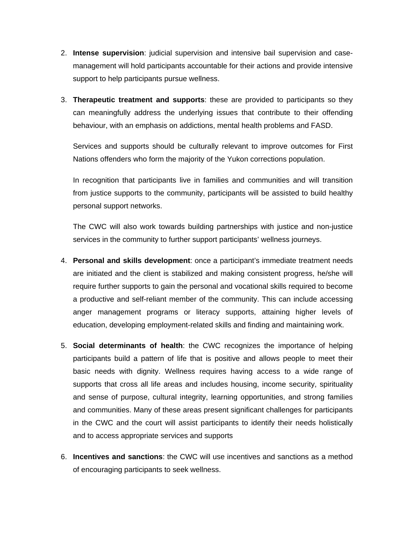- 2. **Intense supervision**: judicial supervision and intensive bail supervision and casemanagement will hold participants accountable for their actions and provide intensive support to help participants pursue wellness.
- 3. **Therapeutic treatment and supports**: these are provided to participants so they can meaningfully address the underlying issues that contribute to their offending behaviour, with an emphasis on addictions, mental health problems and FASD.

Services and supports should be culturally relevant to improve outcomes for First Nations offenders who form the majority of the Yukon corrections population.

In recognition that participants live in families and communities and will transition from justice supports to the community, participants will be assisted to build healthy personal support networks.

The CWC will also work towards building partnerships with justice and non-justice services in the community to further support participants' wellness journeys.

- 4. **Personal and skills development**: once a participant's immediate treatment needs are initiated and the client is stabilized and making consistent progress, he/she will require further supports to gain the personal and vocational skills required to become a productive and self-reliant member of the community. This can include accessing anger management programs or literacy supports, attaining higher levels of education, developing employment-related skills and finding and maintaining work.
- 5. **Social determinants of health**: the CWC recognizes the importance of helping participants build a pattern of life that is positive and allows people to meet their basic needs with dignity. Wellness requires having access to a wide range of supports that cross all life areas and includes housing, income security, spirituality and sense of purpose, cultural integrity, learning opportunities, and strong families and communities. Many of these areas present significant challenges for participants in the CWC and the court will assist participants to identify their needs holistically and to access appropriate services and supports
- 6. **Incentives and sanctions**: the CWC will use incentives and sanctions as a method of encouraging participants to seek wellness.